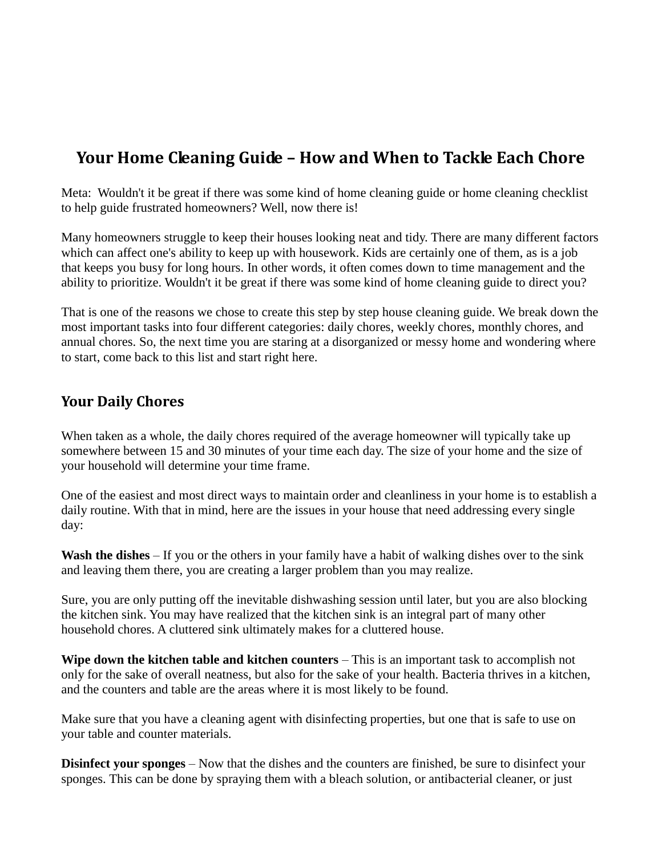# **Your Home Cleaning Guide – How and When to Tackle Each Chore**

Meta: Wouldn't it be great if there was some kind of home cleaning guide or home cleaning checklist to help guide frustrated homeowners? Well, now there is!

Many homeowners struggle to keep their houses looking neat and tidy. There are many different factors which can affect one's ability to keep up with housework. Kids are certainly one of them, as is a job that keeps you busy for long hours. In other words, it often comes down to time management and the ability to prioritize. Wouldn't it be great if there was some kind of home cleaning guide to direct you?

That is one of the reasons we chose to create this step by step house cleaning guide. We break down the most important tasks into four different categories: daily chores, weekly chores, monthly chores, and annual chores. So, the next time you are staring at a disorganized or messy home and wondering where to start, come back to this list and start right here.

#### **Your Daily Chores**

When taken as a whole, the daily chores required of the average homeowner will typically take up somewhere between 15 and 30 minutes of your time each day. The size of your home and the size of your household will determine your time frame.

One of the easiest and most direct ways to maintain order and cleanliness in your home is to establish a daily routine. With that in mind, here are the issues in your house that need addressing every single day:

**Wash the dishes** – If you or the others in your family have a habit of walking dishes over to the sink and leaving them there, you are creating a larger problem than you may realize.

Sure, you are only putting off the inevitable dishwashing session until later, but you are also blocking the kitchen sink. You may have realized that the kitchen sink is an integral part of many other household chores. A cluttered sink ultimately makes for a cluttered house.

**Wipe down the kitchen table and kitchen counters** – This is an important task to accomplish not only for the sake of overall neatness, but also for the sake of your health. Bacteria thrives in a kitchen, and the counters and table are the areas where it is most likely to be found.

Make sure that you have a cleaning agent with disinfecting properties, but one that is safe to use on your table and counter materials.

**Disinfect your sponges** – Now that the dishes and the counters are finished, be sure to disinfect your sponges. This can be done by spraying them with a bleach solution, or antibacterial cleaner, or just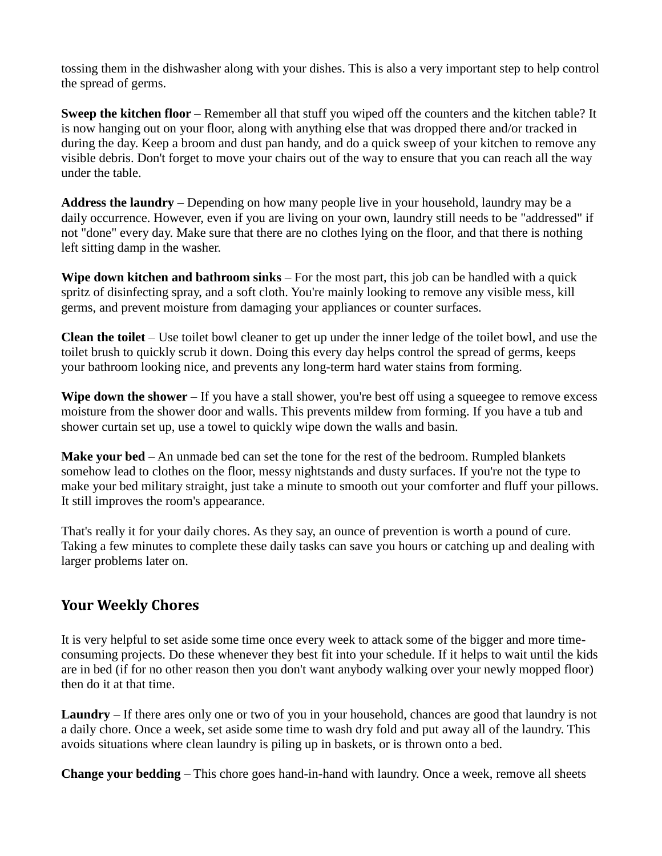tossing them in the dishwasher along with your dishes. This is also a very important step to help control the spread of germs.

**Sweep the kitchen floor** – Remember all that stuff you wiped off the counters and the kitchen table? It is now hanging out on your floor, along with anything else that was dropped there and/or tracked in during the day. Keep a broom and dust pan handy, and do a quick sweep of your kitchen to remove any visible debris. Don't forget to move your chairs out of the way to ensure that you can reach all the way under the table.

**Address the laundry** – Depending on how many people live in your household, laundry may be a daily occurrence. However, even if you are living on your own, laundry still needs to be "addressed" if not "done" every day. Make sure that there are no clothes lying on the floor, and that there is nothing left sitting damp in the washer.

**Wipe down kitchen and bathroom sinks** – For the most part, this job can be handled with a quick spritz of disinfecting spray, and a soft cloth. You're mainly looking to remove any visible mess, kill germs, and prevent moisture from damaging your appliances or counter surfaces.

**Clean the toilet** – Use toilet bowl cleaner to get up under the inner ledge of the toilet bowl, and use the toilet brush to quickly scrub it down. Doing this every day helps control the spread of germs, keeps your bathroom looking nice, and prevents any long-term hard water stains from forming.

**Wipe down the shower** – If you have a stall shower, you're best off using a squeegee to remove excess moisture from the shower door and walls. This prevents mildew from forming. If you have a tub and shower curtain set up, use a towel to quickly wipe down the walls and basin.

**Make your bed** – An unmade bed can set the tone for the rest of the bedroom. Rumpled blankets somehow lead to clothes on the floor, messy nightstands and dusty surfaces. If you're not the type to make your bed military straight, just take a minute to smooth out your comforter and fluff your pillows. It still improves the room's appearance.

That's really it for your daily chores. As they say, an ounce of prevention is worth a pound of cure. Taking a few minutes to complete these daily tasks can save you hours or catching up and dealing with larger problems later on.

#### **Your Weekly Chores**

It is very helpful to set aside some time once every week to attack some of the bigger and more timeconsuming projects. Do these whenever they best fit into your schedule. If it helps to wait until the kids are in bed (if for no other reason then you don't want anybody walking over your newly mopped floor) then do it at that time.

**Laundry** – If there ares only one or two of you in your household, chances are good that laundry is not a daily chore. Once a week, set aside some time to wash dry fold and put away all of the laundry. This avoids situations where clean laundry is piling up in baskets, or is thrown onto a bed.

**Change your bedding** – This chore goes hand-in-hand with laundry. Once a week, remove all sheets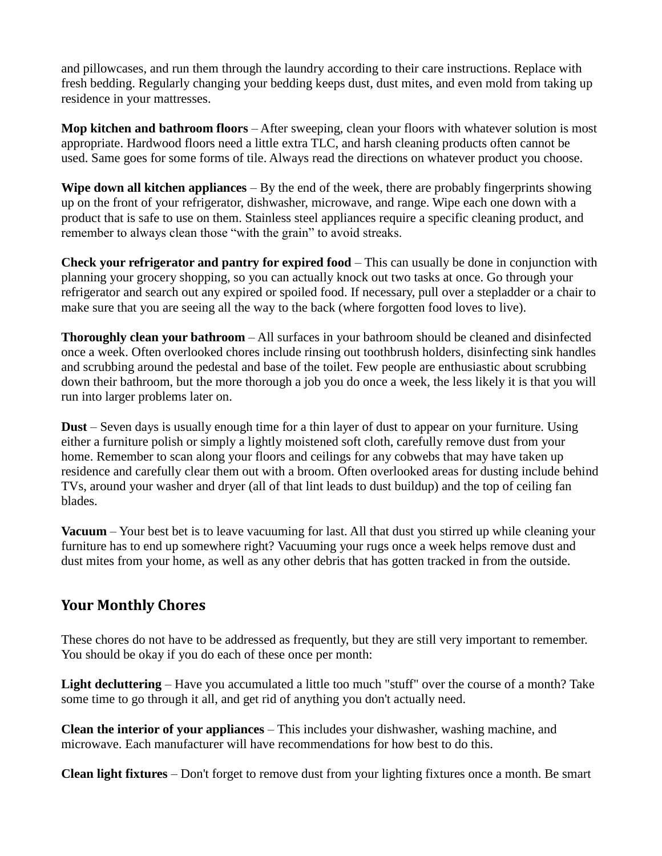and pillowcases, and run them through the laundry according to their care instructions. Replace with fresh bedding. Regularly changing your bedding keeps dust, dust mites, and even mold from taking up residence in your mattresses.

**Mop kitchen and bathroom floors** – After sweeping, clean your floors with whatever solution is most appropriate. Hardwood floors need a little extra TLC, and harsh cleaning products often cannot be used. Same goes for some forms of tile. Always read the directions on whatever product you choose.

**Wipe down all kitchen appliances** – By the end of the week, there are probably fingerprints showing up on the front of your refrigerator, dishwasher, microwave, and range. Wipe each one down with a product that is safe to use on them. Stainless steel appliances require a specific cleaning product, and remember to always clean those "with the grain" to avoid streaks.

**Check your refrigerator and pantry for expired food** – This can usually be done in conjunction with planning your grocery shopping, so you can actually knock out two tasks at once. Go through your refrigerator and search out any expired or spoiled food. If necessary, pull over a stepladder or a chair to make sure that you are seeing all the way to the back (where forgotten food loves to live).

**Thoroughly clean your bathroom** – All surfaces in your bathroom should be cleaned and disinfected once a week. Often overlooked chores include rinsing out toothbrush holders, disinfecting sink handles and scrubbing around the pedestal and base of the toilet. Few people are enthusiastic about scrubbing down their bathroom, but the more thorough a job you do once a week, the less likely it is that you will run into larger problems later on.

**Dust** – Seven days is usually enough time for a thin layer of dust to appear on your furniture. Using either a furniture polish or simply a lightly moistened soft cloth, carefully remove dust from your home. Remember to scan along your floors and ceilings for any cobwebs that may have taken up residence and carefully clear them out with a broom. Often overlooked areas for dusting include behind TVs, around your washer and dryer (all of that lint leads to dust buildup) and the top of ceiling fan blades.

**Vacuum** – Your best bet is to leave vacuuming for last. All that dust you stirred up while cleaning your furniture has to end up somewhere right? Vacuuming your rugs once a week helps remove dust and dust mites from your home, as well as any other debris that has gotten tracked in from the outside.

#### **Your Monthly Chores**

These chores do not have to be addressed as frequently, but they are still very important to remember. You should be okay if you do each of these once per month:

**Light decluttering** – Have you accumulated a little too much "stuff" over the course of a month? Take some time to go through it all, and get rid of anything you don't actually need.

**Clean the interior of your appliances** – This includes your dishwasher, washing machine, and microwave. Each manufacturer will have recommendations for how best to do this.

**Clean light fixtures** – Don't forget to remove dust from your lighting fixtures once a month. Be smart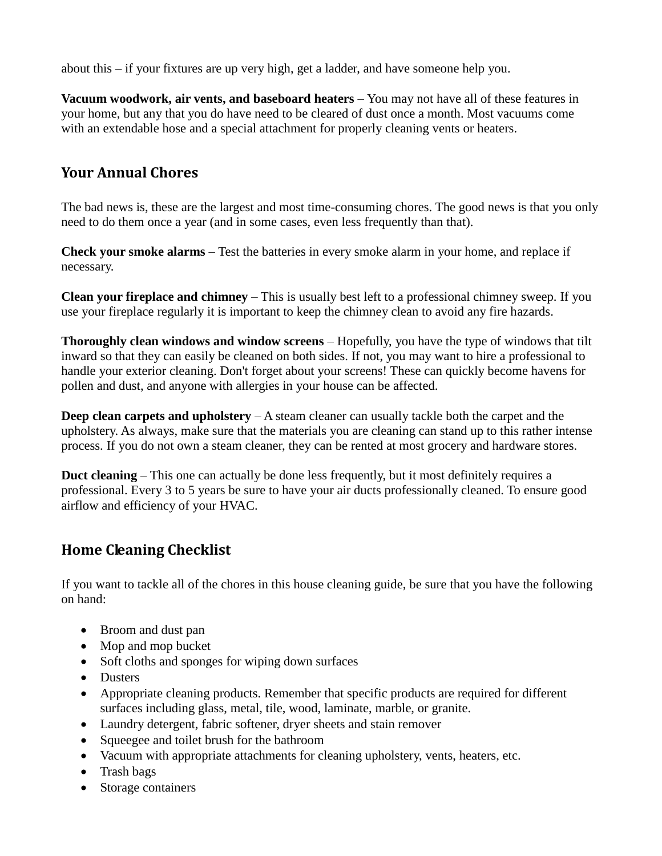about this – if your fixtures are up very high, get a ladder, and have someone help you.

**Vacuum woodwork, air vents, and baseboard heaters** – You may not have all of these features in your home, but any that you do have need to be cleared of dust once a month. Most vacuums come with an extendable hose and a special attachment for properly cleaning vents or heaters.

### **Your Annual Chores**

The bad news is, these are the largest and most time-consuming chores. The good news is that you only need to do them once a year (and in some cases, even less frequently than that).

**Check your smoke alarms** – Test the batteries in every smoke alarm in your home, and replace if necessary.

**Clean your fireplace and chimney** – This is usually best left to a professional chimney sweep. If you use your fireplace regularly it is important to keep the chimney clean to avoid any fire hazards.

**Thoroughly clean windows and window screens** – Hopefully, you have the type of windows that tilt inward so that they can easily be cleaned on both sides. If not, you may want to hire a professional to handle your exterior cleaning. Don't forget about your screens! These can quickly become havens for pollen and dust, and anyone with allergies in your house can be affected.

**Deep clean carpets and upholstery** – A steam cleaner can usually tackle both the carpet and the upholstery. As always, make sure that the materials you are cleaning can stand up to this rather intense process. If you do not own a steam cleaner, they can be rented at most grocery and hardware stores.

**Duct cleaning** – This one can actually be done less frequently, but it most definitely requires a professional. Every 3 to 5 years be sure to have your air ducts professionally cleaned. To ensure good airflow and efficiency of your HVAC.

## **Home Cleaning Checklist**

If you want to tackle all of the chores in this house cleaning guide, be sure that you have the following on hand:

- Broom and dust pan
- Mop and mop bucket
- Soft cloths and sponges for wiping down surfaces
- Dusters
- Appropriate cleaning products. Remember that specific products are required for different surfaces including glass, metal, tile, wood, laminate, marble, or granite.
- Laundry detergent, fabric softener, dryer sheets and stain remover
- Squeegee and toilet brush for the bathroom
- Vacuum with appropriate attachments for cleaning upholstery, vents, heaters, etc.
- Trash bags
- Storage containers